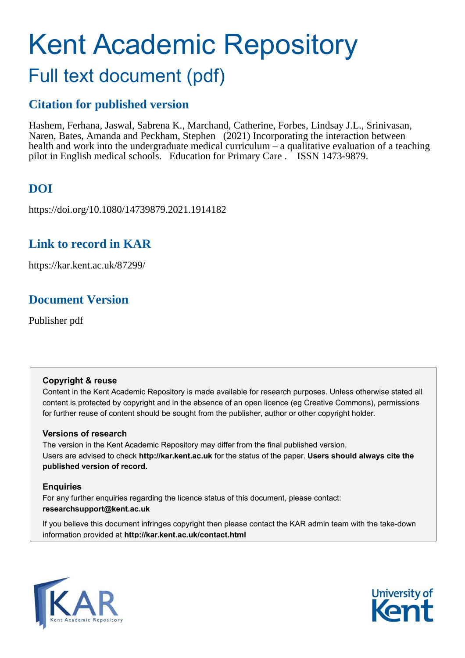# Kent Academic Repository Full text document (pdf)

# **Citation for published version**

Hashem, Ferhana, Jaswal, Sabrena K., Marchand, Catherine, Forbes, Lindsay J.L., Srinivasan, Naren, Bates, Amanda and Peckham, Stephen (2021) Incorporating the interaction between health and work into the undergraduate medical curriculum  $\overline{-}$  a qualitative evaluation of a teaching pilot in English medical schools. Education for Primary Care . ISSN 1473-9879.

# **DOI**

https://doi.org/10.1080/14739879.2021.1914182

# **Link to record in KAR**

https://kar.kent.ac.uk/87299/

# **Document Version**

Publisher pdf

# **Copyright & reuse**

Content in the Kent Academic Repository is made available for research purposes. Unless otherwise stated all content is protected by copyright and in the absence of an open licence (eg Creative Commons), permissions for further reuse of content should be sought from the publisher, author or other copyright holder.

# **Versions of research**

The version in the Kent Academic Repository may differ from the final published version. Users are advised to check **http://kar.kent.ac.uk** for the status of the paper. **Users should always cite the published version of record.**

# **Enquiries**

For any further enquiries regarding the licence status of this document, please contact: **researchsupport@kent.ac.uk**

If you believe this document infringes copyright then please contact the KAR admin team with the take-down information provided at **http://kar.kent.ac.uk/contact.html**



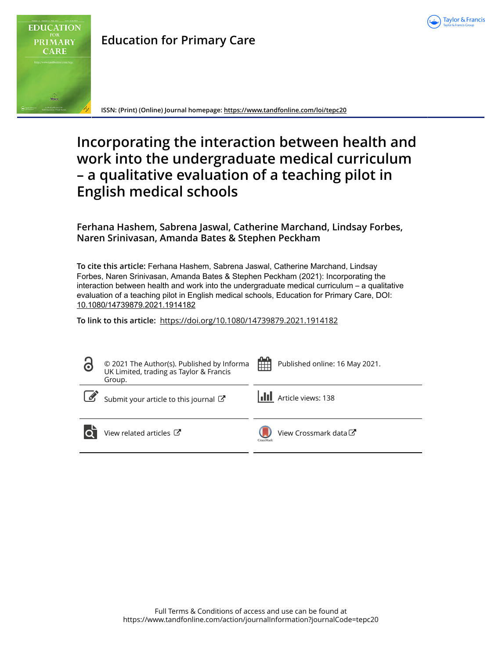

**Education for Primary Care**

**ISSN: (Print) (Online) Journal homepage:<https://www.tandfonline.com/loi/tepc20>**

# **Incorporating the interaction between health and work into the undergraduate medical curriculum – a qualitative evaluation of a teaching pilot in English medical schools**

**Ferhana Hashem, Sabrena Jaswal, Catherine Marchand, Lindsay Forbes, Naren Srinivasan, Amanda Bates & Stephen Peckham**

**To cite this article:** Ferhana Hashem, Sabrena Jaswal, Catherine Marchand, Lindsay Forbes, Naren Srinivasan, Amanda Bates & Stephen Peckham (2021): Incorporating the interaction between health and work into the undergraduate medical curriculum – a qualitative evaluation of a teaching pilot in English medical schools, Education for Primary Care, DOI: [10.1080/14739879.2021.1914182](https://www.tandfonline.com/action/showCitFormats?doi=10.1080/14739879.2021.1914182)

**To link to this article:** <https://doi.org/10.1080/14739879.2021.1914182>

| 3 | © 2021 The Author(s). Published by Informa<br>UK Limited, trading as Taylor & Francis<br>Group. | 雦<br>Published online: 16 May 2021. |
|---|-------------------------------------------------------------------------------------------------|-------------------------------------|
|   | Submit your article to this journal                                                             | Article views: 138                  |
|   | View related articles C                                                                         | View Crossmark data C<br>CrossMark  |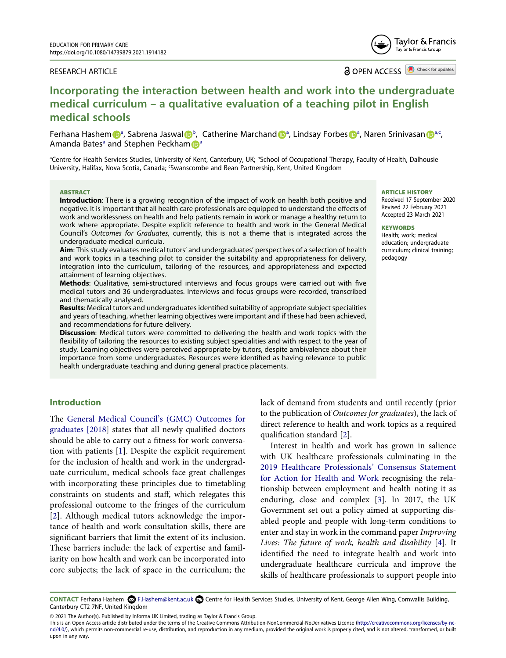#### RESEARCH ARTICLE

**a** OPEN ACCESS **a** Check for updates

# **Incorporating the interaction between health and work into the undergraduate medical curriculum – a qualitative evaluation of a teaching pilot in English medical schools**

Ferhana Hashe[m](http://orcid.org/0000-0002-2544-1350) D<sup>[a](#page--1-0)</sup>, Sa[b](#page--1-0)rena Ja[s](http://orcid.org/0000-0002-4654-9520)wal D<sup>b</sup>, Catheri[n](http://orcid.org/0000-0002-2995-5359)e Marchand D<sup>a</sup>, Lindsay Forbes D<sup>a</sup>, Naren Srinivasan D<sup>a.c</sup>, Amand[a](#page--1-0) Bates<sup>a</sup> and Stephen Peckha[m](http://orcid.org/0000-0002-7002-2614) **[a](#page--1-0)** 

<sup>a</sup>Centre for Health Services Studies, University of Kent, Canterbury, UK; <sup>b</sup>School of Occupational Therapy, Faculty of Health, Dalhousie University, Halifax, Nova Scotia, Canada; 'Swanscombe and Bean Partnership, Kent, United Kingdom

#### **ABSTRACT**

**Introduction**: There is a growing recognition of the impact of work on health both positive and negative. It is important that all health care professionals are equipped to understand the effects of work and worklessness on health and help patients remain in work or manage a healthy return to work where appropriate. Despite explicit reference to health and work in the General Medical Council's *Outcomes for Graduates*, currently, this is not a theme that is integrated across the undergraduate medical curricula.

**Aim**: This study evaluates medical tutors' and undergraduates' perspectives of a selection of health and work topics in a teaching pilot to consider the suitability and appropriateness for delivery, integration into the curriculum, tailoring of the resources, and appropriateness and expected attainment of learning objectives.

**Methods**: Qualitative, semi-structured interviews and focus groups were carried out with five medical tutors and 36 undergraduates. Interviews and focus groups were recorded, transcribed and thematically analysed.

**Results**: Medical tutors and undergraduates identified suitability of appropriate subject specialities and years of teaching, whether learning objectives were important and if these had been achieved, and recommendations for future delivery.

**Discussion**: Medical tutors were committed to delivering the health and work topics with the flexibility of tailoring the resources to existing subject specialities and with respect to the year of study. Learning objectives were perceived appropriate by tutors, despite ambivalence about their importance from some undergraduates. Resources were identified as having relevance to public health undergraduate teaching and during general practice placements.

# **Introduction**

The [General Medical Council's \(GMC\) Outcomes for](https://www.gmc-uk.org/-/media/documents/dc11326-outcomes-for-graduates-2018_pdf-75040796.pdf)  [graduates \[2018\]](https://www.gmc-uk.org/-/media/documents/dc11326-outcomes-for-graduates-2018_pdf-75040796.pdf) states that all newly qualified doctors should be able to carry out a fitness for work conversation with patients [[1\]](#page--1-2). Despite the explicit requirement for the inclusion of health and work in the undergraduate curriculum, medical schools face great challenges with incorporating these principles due to timetabling constraints on students and staff, which relegates this professional outcome to the fringes of the curriculum [[2\]](#page--1-3). Although medical tutors acknowledge the importance of health and work consultation skills, there are significant barriers that limit the extent of its inclusion. These barriers include: the lack of expertise and familiarity on how health and work can be incorporated into core subjects; the lack of space in the curriculum; the lack of demand from students and until recently (prior to the publication of *Outcomes for graduates*), the lack of direct reference to health and work topics as a required qualification standard [\[2](#page--1-3)].

Interest in health and work has grown in salience with UK healthcare professionals culminating in the [2019 Healthcare Professionals' Consensus Statement](https://www.aomrc.org.uk/wp-content/uploads/2019/04/Health-Work_Consensus_Statement_090419.pdf)  [for Action for Health and Work](https://www.aomrc.org.uk/wp-content/uploads/2019/04/Health-Work_Consensus_Statement_090419.pdf) recognising the relationship between employment and health noting it as enduring, close and complex [[3\]](#page--1-4). In 2017, the UK Government set out a policy aimed at supporting disabled people and people with long-term conditions to enter and stay in work in the command paper *Improving Lives: The future of work, health and disability* [\[4](#page--1-5)]. It identified the need to integrate health and work into undergraduate healthcare curricula and improve the skills of healthcare professionals to support people into

CONTACT Ferhana Hashem **۞** F.Hashem@kent.ac.uk **D** Centre for Health Services Studies, University of Kent, George Allen Wing, Cornwallis Building, Canterbury CT2 7NF, United Kingdom

© 2021 The Author(s). Published by Informa UK Limited, trading as Taylor & Francis Group.

This is an Open Access article distributed under the terms of the Creative Commons Attribution-NonCommercial-NoDerivatives License (http://creativecommons.org/licenses/by-ncnd/4.0/), which permits non-commercial re-use, distribution, and reproduction in any medium, provided the original work is properly cited, and is not altered, transformed, or built upon in any way.

**ARTICLE HISTORY**  Received 17 September 2020 Revised 22 February 2021 Accepted 23 March 2021

#### **KEYWORDS**

Health; work; medical education; undergraduate curriculum; clinical training; pedagogy

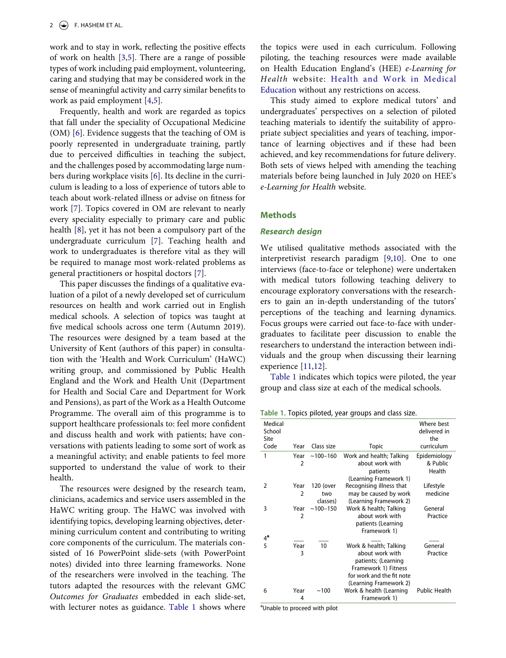work and to stay in work, reflecting the positive effects of work on health [\[3](#page--1-4),[5\]](#page--1-6). There are a range of possible types of work including paid employment, volunteering, caring and studying that may be considered work in the sense of meaningful activity and carry similar benefits to work as paid employment [\[4](#page--1-5),[5\]](#page--1-6).

Frequently, health and work are regarded as topics that fall under the speciality of Occupational Medicine (OM) [[6\]](#page--1-7). Evidence suggests that the teaching of OM is poorly represented in undergraduate training, partly due to perceived difficulties in teaching the subject, and the challenges posed by accommodating large numbers during workplace visits [[6\]](#page--1-7). Its decline in the curriculum is leading to a loss of experience of tutors able to teach about work-related illness or advise on fitness for work [[7\]](#page--1-8). Topics covered in OM are relevant to nearly every speciality especially to primary care and public health [[8\]](#page--1-9), yet it has not been a compulsory part of the undergraduate curriculum [\[7](#page--1-8)]. Teaching health and work to undergraduates is therefore vital as they will be required to manage most work-related problems as general practitioners or hospital doctors [\[7](#page--1-8)].

This paper discusses the findings of a qualitative evaluation of a pilot of a newly developed set of curriculum resources on health and work carried out in English medical schools. A selection of topics was taught at five medical schools across one term (Autumn 2019). The resources were designed by a team based at the University of Kent (authors of this paper) in consultation with the 'Health and Work Curriculum' (HaWC) writing group, and commissioned by Public Health England and the Work and Health Unit (Department for Health and Social Care and Department for Work and Pensions), as part of the Work as a Health Outcome Programme. The overall aim of this programme is to support healthcare professionals to: feel more confident and discuss health and work with patients; have conversations with patients leading to some sort of work as a meaningful activity; and enable patients to feel more supported to understand the value of work to their health.

The resources were designed by the research team, clinicians, academics and service users assembled in the HaWC writing group. The HaWC was involved with identifying topics, developing learning objectives, determining curriculum content and contributing to writing core components of the curriculum. The materials consisted of 16 PowerPoint slide-sets (with PowerPoint notes) divided into three learning frameworks. None of the researchers were involved in the teaching. The tutors adapted the resources with the relevant GMC *Outcomes for Graduates* embedded in each slide-set, with lecturer notes as guidance. [Table 1](#page--1-10) shows where the topics were used in each curriculum. Following piloting, the teaching resources were made available on Health Education England's (HEE) *e-Learning for Health* website: [Health and Work in Medical](https://www.e-lfh.org.uk/programmes/health-and-work-in-undergraduate-medical-education/) [Education](https://www.e-lfh.org.uk/programmes/health-and-work-in-undergraduate-medical-education/) without any restrictions on access.

This study aimed to explore medical tutors' and undergraduates' perspectives on a selection of piloted teaching materials to identify the suitability of appropriate subject specialities and years of teaching, importance of learning objectives and if these had been achieved, and key recommendations for future delivery. Both sets of views helped with amending the teaching materials before being launched in July 2020 on HEE's *e-Learning for Health* website.

## **Methods**

#### *Research design*

We utilised qualitative methods associated with the interpretivist research paradigm [[9](#page--1-11)[,10](#page--1-12)]. One to one interviews (face-to-face or telephone) were undertaken with medical tutors following teaching delivery to encourage exploratory conversations with the researchers to gain an in-depth understanding of the tutors' perceptions of the teaching and learning dynamics. Focus groups were carried out face-to-face with undergraduates to facilitate peer discussion to enable the researchers to understand the interaction between individuals and the group when discussing their learning experience [\[11,](#page--1-13)[12](#page--1-14)].

[Table 1](#page--1-10) indicates which topics were piloted, the year group and class size at each of the medical schools.

**Table 1.** Topics piloted, year groups and class size.

| Medical<br>School<br>Site<br>Code | Year           | Class size   | <b>Topic</b>                                          | Where hest<br>delivered in<br>the<br>curriculum |
|-----------------------------------|----------------|--------------|-------------------------------------------------------|-------------------------------------------------|
| 1                                 | Year           | $~100 - 160$ | Work and health; Talking                              | Epidemiology                                    |
|                                   | $\overline{2}$ |              | about work with                                       | & Public                                        |
|                                   |                |              | patients                                              | Health                                          |
|                                   |                |              | (Learning Framework 1)                                |                                                 |
| 2                                 | Year           | 120 (over    | Recognising illness that                              | Lifestyle                                       |
|                                   | $\mathfrak{p}$ | two          | may be caused by work                                 | medicine                                        |
|                                   |                | classes)     | (Learning Framework 2)                                |                                                 |
| 3                                 | Year           | $~100 - 150$ | Work & health; Talking                                | General                                         |
|                                   | 2              |              | about work with<br>patients (Learning<br>Framework 1) | Practice                                        |
| $4^a$                             |                |              |                                                       |                                                 |
| 5                                 | Year           | 10           | Work & health; Talking                                | General                                         |
|                                   | 3              |              | about work with                                       | Practice                                        |
|                                   |                |              | patients; (Learning                                   |                                                 |
|                                   |                |              | Framework 1) Fitness                                  |                                                 |
|                                   |                |              | for work and the fit note                             |                                                 |
|                                   |                |              | (Learning Framework 2)                                |                                                 |
| 6                                 | Year<br>4      | ~100         | Work & health (Learning<br>Framework 1)               | <b>Public Health</b>                            |
|                                   |                |              |                                                       |                                                 |

<sup>a</sup>Unable to proceed with pilot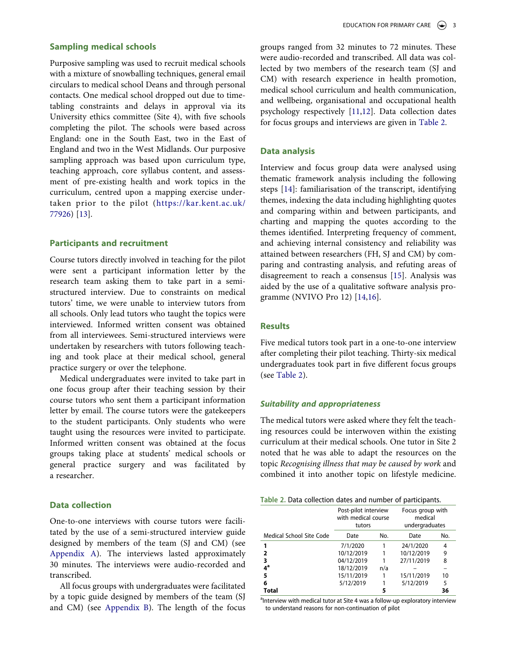## **Sampling medical schools**

Purposive sampling was used to recruit medical schools with a mixture of snowballing techniques, general email circulars to medical school Deans and through personal contacts. One medical school dropped out due to timetabling constraints and delays in approval via its University ethics committee (Site 4), with five schools completing the pilot. The schools were based across England: one in the South East, two in the East of England and two in the West Midlands. Our purposive sampling approach was based upon curriculum type, teaching approach, core syllabus content, and assessment of pre-existing health and work topics in the curriculum, centred upon a mapping exercise undertaken prior to the pilot ([https://kar.kent.ac.uk/](https://kar.kent.ac.uk/77926/) [77926](https://kar.kent.ac.uk/77926/)) [\[13](#page--1-15)].

## **Participants and recruitment**

Course tutors directly involved in teaching for the pilot were sent a participant information letter by the research team asking them to take part in a semistructured interview. Due to constraints on medical tutors' time, we were unable to interview tutors from all schools. Only lead tutors who taught the topics were interviewed. Informed written consent was obtained from all interviewees. Semi-structured interviews were undertaken by researchers with tutors following teaching and took place at their medical school, general practice surgery or over the telephone.

Medical undergraduates were invited to take part in one focus group after their teaching session by their course tutors who sent them a participant information letter by email. The course tutors were the gatekeepers to the student participants. Only students who were taught using the resources were invited to participate. Informed written consent was obtained at the focus groups taking place at students' medical schools or general practice surgery and was facilitated by a researcher.

# **Data collection**

One-to-one interviews with course tutors were facilitated by the use of a semi-structured interview guide designed by members of the team (SJ and CM) (see [Appendix A](#page--1-16)). The interviews lasted approximately 30 minutes. The interviews were audio-recorded and transcribed.

All focus groups with undergraduates were facilitated by a topic guide designed by members of the team (SJ and CM) (see [Appendix B](#page--1-17)). The length of the focus groups ranged from 32 minutes to 72 minutes. These were audio-recorded and transcribed. All data was collected by two members of the research team (SJ and CM) with research experience in health promotion, medical school curriculum and health communication, and wellbeing, organisational and occupational health psychology respectively [[11,](#page--1-13)[12](#page--1-14)]. Data collection dates for focus groups and interviews are given in [Table 2](#page--1-18).

# **Data analysis**

Interview and focus group data were analysed using thematic framework analysis including the following steps [[14](#page--1-19)]: familiarisation of the transcript, identifying themes, indexing the data including highlighting quotes and comparing within and between participants, and charting and mapping the quotes according to the themes identified. Interpreting frequency of comment, and achieving internal consistency and reliability was attained between researchers (FH, SJ and CM) by comparing and contrasting analysis, and refuting areas of disagreement to reach a consensus [[15\]](#page--1-20). Analysis was aided by the use of a qualitative software analysis programme (NVIVO Pro 12) [[14,](#page--1-19)[16](#page--1-21)].

# **Results**

Five medical tutors took part in a one-to-one interview after completing their pilot teaching. Thirty-six medical undergraduates took part in five different focus groups (see [Table 2\)](#page--1-18).

#### *Suitability and appropriateness*

The medical tutors were asked where they felt the teaching resources could be interwoven within the existing curriculum at their medical schools. One tutor in Site 2 noted that he was able to adapt the resources on the topic *Recognising illness that may be caused by work* and combined it into another topic on lifestyle medicine.

|                          | Post-pilot interview<br>with medical course<br>tutors |     | Focus group with<br>medical<br>undergraduates |     |
|--------------------------|-------------------------------------------------------|-----|-----------------------------------------------|-----|
| Medical School Site Code | Date                                                  | No. | Date                                          | No. |
|                          | 7/1/2020                                              |     | 24/1/2020                                     | 4   |
| 2                        | 10/12/2019                                            |     | 10/12/2019                                    | 9   |
| 3                        | 04/12/2019                                            |     | 27/11/2019                                    | 8   |
| 4ª                       | 18/12/2019                                            | n/a |                                               |     |
| 5                        | 15/11/2019                                            |     | 15/11/2019                                    | 10  |
| 6                        | 5/12/2019                                             |     | 5/12/2019                                     | 5   |
| Total                    |                                                       |     |                                               | 36  |

<sup>a</sup>Interview with medical tutor at Site 4 was a follow-up exploratory interview to understand reasons for non-continuation of pilot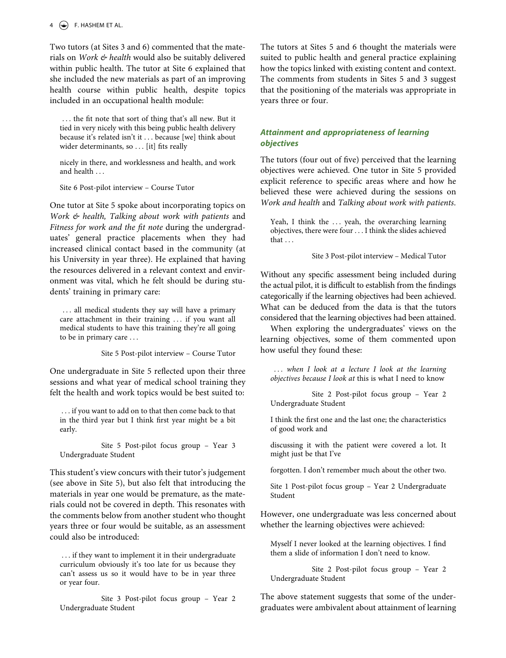Two tutors (at Sites 3 and 6) commented that the materials on *Work & health* would also be suitably delivered within public health. The tutor at Site 6 explained that she included the new materials as part of an improving health course within public health, despite topics included in an occupational health module:

. . . the fit note that sort of thing that's all new. But it tied in very nicely with this being public health delivery because it's related isn't it . . . because [we] think about wider determinants, so . . . [it] fits really

nicely in there, and worklessness and health, and work and health . . .

Site 6 Post-pilot interview – Course Tutor

One tutor at Site 5 spoke about incorporating topics on *Work & health, Talking about work with patients* and *Fitness for work and the fit note* during the undergraduates' general practice placements when they had increased clinical contact based in the community (at his University in year three). He explained that having the resources delivered in a relevant context and environment was vital, which he felt should be during students' training in primary care:

... all medical students they say will have a primary care attachment in their training . . . if you want all medical students to have this training they're all going to be in primary care . . .

Site 5 Post-pilot interview – Course Tutor

One undergraduate in Site 5 reflected upon their three sessions and what year of medical school training they felt the health and work topics would be best suited to:

. . . if you want to add on to that then come back to that in the third year but I think first year might be a bit early.

Site 5 Post-pilot focus group – Year 3 Undergraduate Student

This student's view concurs with their tutor's judgement (see above in Site 5), but also felt that introducing the materials in year one would be premature, as the materials could not be covered in depth. This resonates with the comments below from another student who thought years three or four would be suitable, as an assessment could also be introduced:

. . . if they want to implement it in their undergraduate curriculum obviously it's too late for us because they can't assess us so it would have to be in year three or year four.

Site 3 Post-pilot focus group – Year 2 Undergraduate Student

The tutors at Sites 5 and 6 thought the materials were suited to public health and general practice explaining how the topics linked with existing content and context. The comments from students in Sites 5 and 3 suggest that the positioning of the materials was appropriate in years three or four.

# *Attainment and appropriateness of learning objectives*

The tutors (four out of five) perceived that the learning objectives were achieved. One tutor in Site 5 provided explicit reference to specific areas where and how he believed these were achieved during the sessions on *Work and health* and *Talking about work with patients*.

Yeah, I think the ... yeah, the overarching learning objectives, there were four . . . I think the slides achieved that . . .

Site 3 Post-pilot interview – Medical Tutor

Without any specific assessment being included during the actual pilot, it is difficult to establish from the findings categorically if the learning objectives had been achieved. What can be deduced from the data is that the tutors considered that the learning objectives had been attained.

When exploring the undergraduates' views on the learning objectives, some of them commented upon how useful they found these:

*. . . when I look at a lecture I look at the learning objectives because I look at* this is what I need to know

Site 2 Post-pilot focus group – Year 2 Undergraduate Student

I think the first one and the last one; the characteristics of good work and

discussing it with the patient were covered a lot. It might just be that I've

forgotten. I don't remember much about the other two.

Site 1 Post-pilot focus group – Year 2 Undergraduate Student

However, one undergraduate was less concerned about whether the learning objectives were achieved:

Myself I never looked at the learning objectives. I find them a slide of information I don't need to know.

Site 2 Post-pilot focus group – Year 2 Undergraduate Student

The above statement suggests that some of the undergraduates were ambivalent about attainment of learning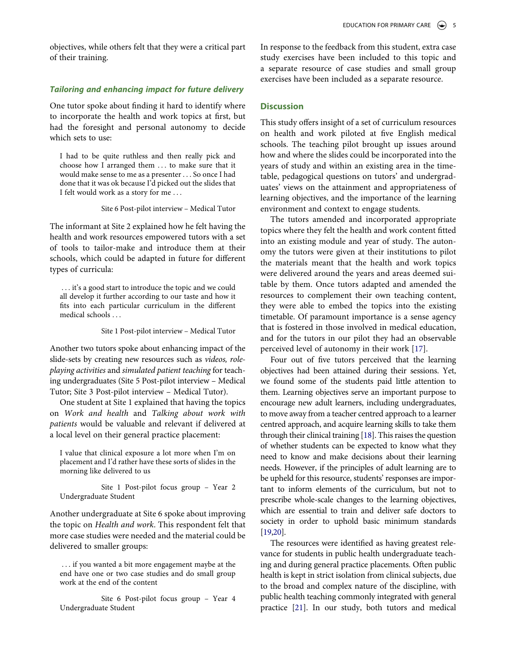objectives, while others felt that they were a critical part of their training.

# *Tailoring and enhancing impact for future delivery*

One tutor spoke about finding it hard to identify where to incorporate the health and work topics at first, but had the foresight and personal autonomy to decide which sets to use:

I had to be quite ruthless and then really pick and choose how I arranged them . . . to make sure that it would make sense to me as a presenter . . . So once I had done that it was ok because I'd picked out the slides that I felt would work as a story for me . . .

Site 6 Post-pilot interview – Medical Tutor

The informant at Site 2 explained how he felt having the health and work resources empowered tutors with a set of tools to tailor-make and introduce them at their schools, which could be adapted in future for different types of curricula:

. . . it's a good start to introduce the topic and we could all develop it further according to our taste and how it fits into each particular curriculum in the different medical schools . . .

Site 1 Post-pilot interview – Medical Tutor

Another two tutors spoke about enhancing impact of the slide-sets by creating new resources such as *videos, roleplaying activities* and *simulated patient teaching* for teaching undergraduates (Site 5 Post-pilot interview – Medical Tutor; Site 3 Post-pilot interview – Medical Tutor).

One student at Site 1 explained that having the topics on *Work and health* and *Talking about work with patients* would be valuable and relevant if delivered at a local level on their general practice placement:

I value that clinical exposure a lot more when I'm on placement and I'd rather have these sorts of slides in the morning like delivered to us

Site 1 Post-pilot focus group – Year 2 Undergraduate Student

Another undergraduate at Site 6 spoke about improving the topic on *Health and work*. This respondent felt that more case studies were needed and the material could be delivered to smaller groups:

. . . if you wanted a bit more engagement maybe at the end have one or two case studies and do small group work at the end of the content

Site 6 Post-pilot focus group – Year 4 Undergraduate Student

In response to the feedback from this student, extra case study exercises have been included to this topic and a separate resource of case studies and small group exercises have been included as a separate resource.

# **Discussion**

This study offers insight of a set of curriculum resources on health and work piloted at five English medical schools. The teaching pilot brought up issues around how and where the slides could be incorporated into the years of study and within an existing area in the timetable, pedagogical questions on tutors' and undergraduates' views on the attainment and appropriateness of learning objectives, and the importance of the learning environment and context to engage students.

The tutors amended and incorporated appropriate topics where they felt the health and work content fitted into an existing module and year of study. The autonomy the tutors were given at their institutions to pilot the materials meant that the health and work topics were delivered around the years and areas deemed suitable by them. Once tutors adapted and amended the resources to complement their own teaching content, they were able to embed the topics into the existing timetable. Of paramount importance is a sense agency that is fostered in those involved in medical education, and for the tutors in our pilot they had an observable perceived level of autonomy in their work [\[17](#page--1-22)].

Four out of five tutors perceived that the learning objectives had been attained during their sessions. Yet, we found some of the students paid little attention to them. Learning objectives serve an important purpose to encourage new adult learners, including undergraduates, to move away from a teacher centred approach to a learner centred approach, and acquire learning skills to take them through their clinical training [\[18\]](#page--1-23). This raises the question of whether students can be expected to know what they need to know and make decisions about their learning needs. However, if the principles of adult learning are to be upheld for this resource, students' responses are important to inform elements of the curriculum, but not to prescribe whole-scale changes to the learning objectives, which are essential to train and deliver safe doctors to society in order to uphold basic minimum standards [\[19](#page--1-24)[,20\]](#page--1-25).

The resources were identified as having greatest relevance for students in public health undergraduate teaching and during general practice placements. Often public health is kept in strict isolation from clinical subjects, due to the broad and complex nature of the discipline, with public health teaching commonly integrated with general practice [\[21](#page--1-26)]. In our study, both tutors and medical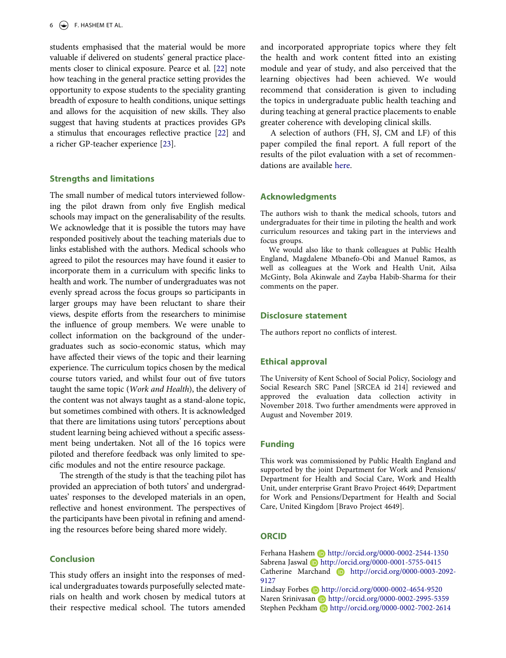students emphasised that the material would be more valuable if delivered on students' general practice placements closer to clinical exposure. Pearce et al. [[22](#page--1-27)] note how teaching in the general practice setting provides the opportunity to expose students to the speciality granting breadth of exposure to health conditions, unique settings and allows for the acquisition of new skills. They also suggest that having students at practices provides GPs a stimulus that encourages reflective practice [\[22](#page--1-27)] and a richer GP-teacher experience [\[23\]](#page--1-28).

## **Strengths and limitations**

The small number of medical tutors interviewed following the pilot drawn from only five English medical schools may impact on the generalisability of the results. We acknowledge that it is possible the tutors may have responded positively about the teaching materials due to links established with the authors. Medical schools who agreed to pilot the resources may have found it easier to incorporate them in a curriculum with specific links to health and work. The number of undergraduates was not evenly spread across the focus groups so participants in larger groups may have been reluctant to share their views, despite efforts from the researchers to minimise the influence of group members. We were unable to collect information on the background of the undergraduates such as socio-economic status, which may have affected their views of the topic and their learning experience. The curriculum topics chosen by the medical course tutors varied, and whilst four out of five tutors taught the same topic (*Work and Health*), the delivery of the content was not always taught as a stand-alone topic, but sometimes combined with others. It is acknowledged that there are limitations using tutors' perceptions about student learning being achieved without a specific assessment being undertaken. Not all of the 16 topics were piloted and therefore feedback was only limited to specific modules and not the entire resource package.

The strength of the study is that the teaching pilot has provided an appreciation of both tutors' and undergraduates' responses to the developed materials in an open, reflective and honest environment. The perspectives of the participants have been pivotal in refining and amending the resources before being shared more widely.

# **Conclusion**

This study offers an insight into the responses of medical undergraduates towards purposefully selected materials on health and work chosen by medical tutors at their respective medical school. The tutors amended and incorporated appropriate topics where they felt the health and work content fitted into an existing module and year of study, and also perceived that the learning objectives had been achieved. We would recommend that consideration is given to including the topics in undergraduate public health teaching and during teaching at general practice placements to enable greater coherence with developing clinical skills.

A selection of authors (FH, SJ, CM and LF) of this paper compiled the final report. A full report of the results of the pilot evaluation with a set of recommendations are available [here.](https://doi.org/10.1080/14739879.2021.1914182)

## **Acknowledgments**

The authors wish to thank the medical schools, tutors and undergraduates for their time in piloting the health and work curriculum resources and taking part in the interviews and focus groups.

We would also like to thank colleagues at Public Health England, Magdalene Mbanefo-Obi and Manuel Ramos, as well as colleagues at the Work and Health Unit, Ailsa McGinty, Bola Akinwale and Zayba Habib-Sharma for their comments on the paper.

#### **Disclosure statement**

The authors report no conflicts of interest.

#### **Ethical approval**

The University of Kent School of Social Policy, Sociology and Social Research SRC Panel [SRCEA id 214] reviewed and approved the evaluation data collection activity in November 2018. Two further amendments were approved in August and November 2019.

#### **Funding**

This work was commissioned by Public Health England and supported by the joint Department for Work and Pensions/ Department for Health and Social Care, Work and Health Unit, under enterprise Grant Bravo Project 4649; Department for Work and Pensions/Department for Health and Social Care, United Kingdom [Bravo Project 4649].

## **ORCID**

Ferhana Hashem D http://orcid.org/0000-0002-2544-1350 Sabrena Jaswal Dhttp://orcid.org/0000-0001-5755-0415 Catherine Marchand **b** http://orcid.org/0000-0003-2092-9127

Lindsay Forbes Dhttp://orcid.org/0000-0002-4654-9520 Naren Srinivasan **http://orcid.org/0000-0002-2995-5359** Stephen Peckham **b** http://orcid.org/0000-0002-7002-2614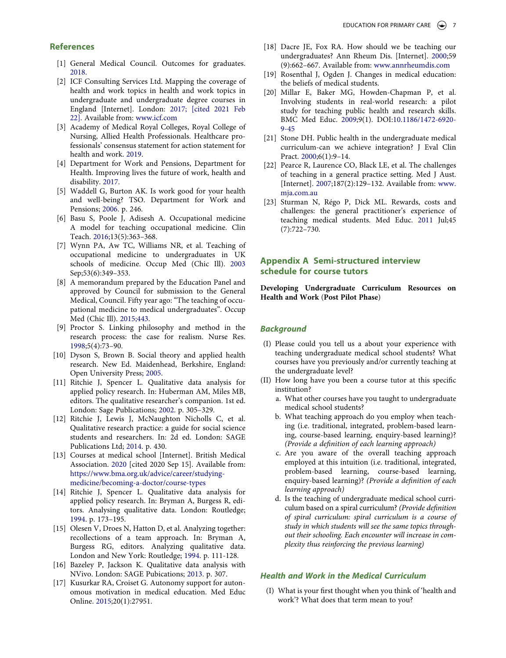## **References**

- [1] General Medical Council. Outcomes for graduates. [2018.](#page--1-29)
- [2] ICF Consulting Services Ltd. Mapping the coverage of health and work topics in health and work topics in undergraduate and undergraduate degree courses in England [Internet]. London: [2017; \[cited 2021 Feb](#page--1-30)  [22\].](#page--1-30) Available from: [www.icf.com](http://www.icf.com)
- [3] Academy of Medical Royal Colleges, Royal College of Nursing, Allied Health Professionals. Healthcare professionals' consensus statement for action statement for health and work. [2019](#page--1-31).
- [4] Department for Work and Pensions, Department for Health. Improving lives the future of work, health and disability. [2017](#page--1-32).
- [5] Waddell G, Burton AK. Is work good for your health and well-being? TSO. Department for Work and Pensions; [2006.](#page--1-33) p. 246.
- [6] Basu S, Poole J, Adisesh A. Occupational medicine A model for teaching occupational medicine. Clin Teach. [2016;](#page--1-34)13(5):363–368.
- [7] Wynn PA, Aw TC, Williams NR, et al. Teaching of occupational medicine to undergraduates in UK schools of medicine. Occup Med (Chic Ill). [2003](#page--1-35)  Sep;53(6):349–353.
- [8] A memorandum prepared by the Education Panel and approved by Council for submission to the General Medical, Council. Fifty year ago: "The teaching of occupational medicine to medical undergraduates". Occup Med (Chic Ill). [2015;443.](#page--1-36)
- [9] Proctor S. Linking philosophy and method in the research process: the case for realism. Nurse Res. [1998;](#page--1-37)5(4):73–90.
- [10] Dyson S, Brown B. Social theory and applied health research. New Ed. Maidenhead, Berkshire, England: Open University Press; [2005.](#page--1-37)
- [11] Ritchie J, Spencer L. Qualitative data analysis for applied policy research. In: Huberman AM, Miles MB, editors. The qualitative researcher's companion. 1st ed. London: Sage Publications; [2002.](#page--1-38) p. 305–329.
- [12] Ritchie J, Lewis J, McNaughton Nicholls C, et al. Qualitative research practice: a guide for social science students and researchers. In: 2d ed. London: SAGE Publications Ltd; [2014](#page--1-38). p. 430.
- [13] Courses at medical school [Internet]. British Medical Association. [2020](#page--1-39) [cited 2020 Sep 15]. Available from: [https://www.bma.org.uk/advice/career/studying](https://www.bma.org.uk/advice/career/studying-medicine/becoming-a-doctor/course-types)[medicine/becoming-a-doctor/course-types](https://www.bma.org.uk/advice/career/studying-medicine/becoming-a-doctor/course-types)
- [14] Ritchie J, Spencer L. Qualitative data analysis for applied policy research. In: Bryman A, Burgess R, editors. Analysing qualitative data. London: Routledge; [1994.](#page--1-40) p. 173–195.
- [15] Olesen V, Droes N, Hatton D, et al. Analyzing together: recollections of a team approach. In: Bryman A, Burgess RG, editors. Analyzing qualitative data. London and New York: Routledge; [1994](#page--1-41). p. 111-128.
- [16] Bazeley P, Jackson K. Qualitative data analysis with NVivo. London: SAGE Pubications; [2013.](#page--1-40) p. 307.
- [17] Kusurkar RA, Croiset G. Autonomy support for autonomous motivation in medical education. Med Educ Online. [2015;](#page--1-42)20(1):27951.
- [18] Dacre JE, Fox RA. How should we be teaching our undergraduates? Ann Rheum Dis. [Internet]. [2000](#page--1-43);59 (9):662–667. Available from: [www.annrheumdis.com](http://www.annrheumdis.com)
- [19] Rosenthal J, Ogden J. Changes in medical education: the beliefs of medical students.
- [20] Millar E, Baker MG, Howden-Chapman P, et al. Involving students in real-world research: a pilot study for teaching public health and research skills. BMC Med Educ. [2009;](#page--1-44)9(1). DOI:[10.1186/1472-6920-](https://doi.org/10.1186/1472-6920-9-45) [9-45](https://doi.org/10.1186/1472-6920-9-45)
- [21] Stone DH. Public health in the undergraduate medical curriculum-can we achieve integration? J Eval Clin Pract. [2000](#page--1-45);6(1):9–14.
- [22] Pearce R, Laurence CO, Black LE, et al. The challenges of teaching in a general practice setting. Med J Aust. [Internet]. [2007;](#page--1-46)187(2):129–132. Available from: [www.](http://www.mja.com.au) [mja.com.au](http://www.mja.com.au)
- [23] Sturman N, Régo P, Dick ML. Rewards, costs and challenges: the general practitioner's experience of teaching medical students. Med Educ. [2011](#page--1-47) Jul;45 (7):722–730.

# **Appendix A Semi-structured interview schedule for course tutors**

**Developing Undergraduate Curriculum Resources on Health and Work** (**Post Pilot Phase**)

#### *Background*

- (I) Please could you tell us a about your experience with teaching undergraduate medical school students? What courses have you previously and/or currently teaching at the undergraduate level?
- (II) How long have you been a course tutor at this specific institution?
	- a. What other courses have you taught to undergraduate medical school students?
	- b. What teaching approach do you employ when teaching (i.e. traditional, integrated, problem-based learning, course-based learning, enquiry-based learning)? *(Provide a definition of each learning approach)*
	- c. Are you aware of the overall teaching approach employed at this intuition (i.e. traditional, integrated, problem-based learning, course-based learning, enquiry-based learning)? *(Provide a definition of each learning approach)*
	- d. Is the teaching of undergraduate medical school curriculum based on a spiral curriculum? *(Provide definition of spiral curriculum: spiral curriculum is a course of study in which students will see the same topics throughout their schooling. Each encounter will increase in complexity thus reinforcing the previous learning)*

#### *Health and Work in the Medical Curriculum*

(I) What is your first thought when you think of 'health and work'? What does that term mean to you?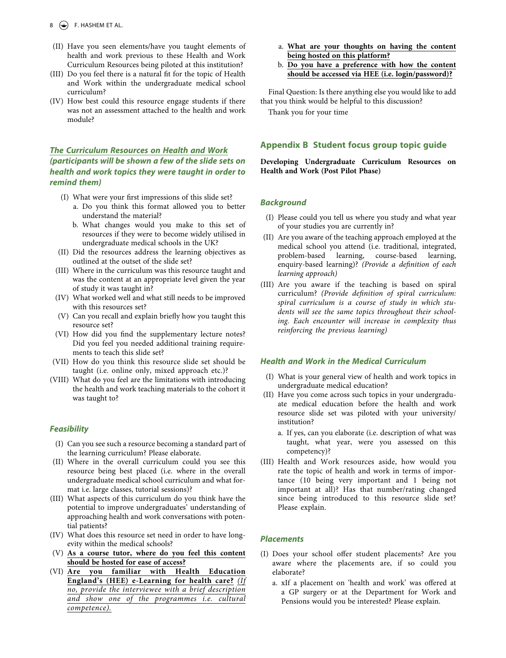$8 \quad \Leftrightarrow$  F. HASHEM ET AL.

- (II) Have you seen elements/have you taught elements of health and work previous to these Health and Work Curriculum Resources being piloted at this institution?
- (III) Do you feel there is a natural fit for the topic of Health and Work within the undergraduate medical school curriculum?
- (IV) How best could this resource engage students if there was not an assessment attached to the health and work module?

# *The Curriculum Resources on Health and Work (participants will be shown a few of the slide sets on health and work topics they were taught in order to remind them)*

- (I) What were your first impressions of this slide set?
	- a. Do you think this format allowed you to better understand the material?
	- b. What changes would you make to this set of resources if they were to become widely utilised in undergraduate medical schools in the UK?
- (II) Did the resources address the learning objectives as outlined at the outset of the slide set?
- (III) Where in the curriculum was this resource taught and was the content at an appropriate level given the year of study it was taught in?
- (IV) What worked well and what still needs to be improved with this resources set?
- (V) Can you recall and explain briefly how you taught this resource set?
- (VI) How did you find the supplementary lecture notes? Did you feel you needed additional training requirements to teach this slide set?
- (VII) How do you think this resource slide set should be taught (i.e. online only, mixed approach etc.)?
- (VIII) What do you feel are the limitations with introducing the health and work teaching materials to the cohort it was taught to?

## *Feasibility*

- (I) Can you see such a resource becoming a standard part of the learning curriculum? Please elaborate.
- (II) Where in the overall curriculum could you see this resource being best placed (i.e. where in the overall undergraduate medical school curriculum and what format i.e. large classes, tutorial sessions)?
- (III) What aspects of this curriculum do you think have the potential to improve undergraduates' understanding of approaching health and work conversations with potential patients?
- (IV) What does this resource set need in order to have longevity within the medical schools?
- (V) **As a course tutor, where do you feel this content should be hosted for ease of access?**
- (VI) **Are you familiar with Health Education England's (HEE) e-Learning for health care?** *(If no, provide the interviewee with a brief description and show one of the programmes i.e. cultural competence).*
- a. **What are your thoughts on having the content being hosted on this platform?**
- b. **Do you have a preference with how the content should be accessed via HEE (i.e. login/password)?**

Final Question: Is there anything else you would like to add that you think would be helpful to this discussion?

Thank you for your time

# **Appendix B Student focus group topic guide**

**Developing Undergraduate Curriculum Resources on Health and Work (Post Pilot Phase)**

#### *Background*

- (I) Please could you tell us where you study and what year of your studies you are currently in?
- (II) Are you aware of the teaching approach employed at the medical school you attend (i.e. traditional, integrated, problem-based learning, enquiry-based learning)? *(Provide a definition of each learning approach)*
- (III) Are you aware if the teaching is based on spiral curriculum? *(Provide definition of spiral curriculum: spiral curriculum is a course of study in which students will see the same topics throughout their schooling. Each encounter will increase in complexity thus reinforcing the previous learning)*

#### *Health and Work in the Medical Curriculum*

- (I) What is your general view of health and work topics in undergraduate medical education?
- (II) Have you come across such topics in your undergraduate medical education before the health and work resource slide set was piloted with your university/ institution?
	- a. If yes, can you elaborate (i.e. description of what was taught, what year, were you assessed on this competency)?
- (III) Health and Work resources aside, how would you rate the topic of health and work in terms of importance (10 being very important and 1 being not important at all)? Has that number/rating changed since being introduced to this resource slide set? Please explain.

#### *Placements*

- (I) Does your school offer student placements? Are you aware where the placements are, if so could you elaborate?
	- a. xIf a placement on 'health and work' was offered at a GP surgery or at the Department for Work and Pensions would you be interested? Please explain.